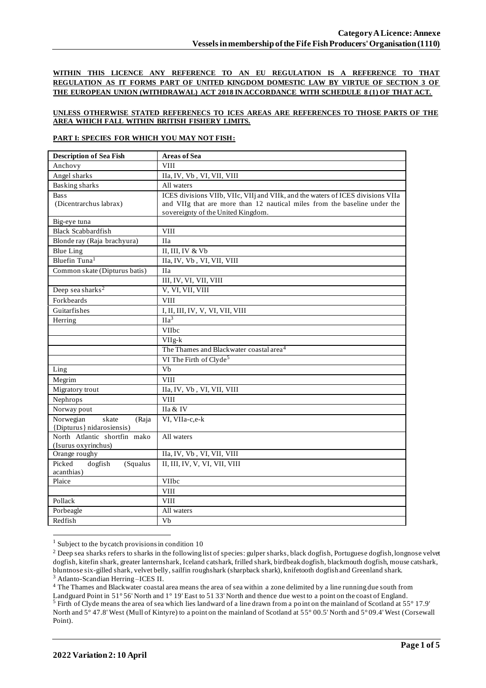**WITHIN THIS LICENCE ANY REFERENCE TO AN EU REGULATION IS A REFERENCE TO THAT REGULATION AS IT FORMS PART OF UNITED KINGDOM DOMESTIC LAW BY VIRTUE OF SECTION 3 OF THE EUROPEAN UNION (WITHDRAWAL) ACT 2018 IN ACCORDANCE WITH SCHEDULE 8 (1) OF THAT ACT.**

#### **UNLESS OTHERWISE STATED REFERENECS TO ICES AREAS ARE REFERENCES TO THOSE PARTS OF THE AREA WHICH FALL WITHIN BRITISH FISHERY LIMITS.**

#### **PART I: SPECIES FOR WHICH YOU MAY NOT FISH:**

| <b>Description of Sea Fish</b>              | <b>Areas of Sea</b>                                                             |  |  |
|---------------------------------------------|---------------------------------------------------------------------------------|--|--|
| Anchovy                                     | <b>VIII</b>                                                                     |  |  |
| Angel sharks                                | IIa, IV, Vb, VI, VII, VIII                                                      |  |  |
| <b>Basking sharks</b>                       | All waters                                                                      |  |  |
| <b>Bass</b>                                 | ICES divisions VIIb, VIIc, VIIj and VIIk, and the waters of ICES divisions VIIa |  |  |
| (Dicentrarchus labrax)                      | and VIIg that are more than 12 nautical miles from the baseline under the       |  |  |
|                                             | sovereignty of the United Kingdom.                                              |  |  |
| Big-eye tuna                                |                                                                                 |  |  |
| <b>Black Scabbardfish</b>                   | <b>VIII</b>                                                                     |  |  |
| Blonde ray (Raja brachyura)                 | <b>IIa</b>                                                                      |  |  |
| <b>Blue Ling</b>                            | II, III, IV & Vb                                                                |  |  |
| Bluefin Tuna <sup>1</sup>                   | IIa, IV, Vb, VI, VII, VIII                                                      |  |  |
| Common skate (Dipturus batis)               | <b>IIa</b>                                                                      |  |  |
|                                             | III, IV, VI, VII, VIII                                                          |  |  |
| Deep sea sharks <sup>2</sup>                | V, VI, VII, VIII                                                                |  |  |
| Forkbeards                                  | <b>VIII</b>                                                                     |  |  |
| Guitarfishes                                | I, II, III, IV, V, VI, VII, VIII                                                |  |  |
| Herring                                     | $\Pi a^3$                                                                       |  |  |
|                                             | VIIbc                                                                           |  |  |
|                                             | $VIIg-k$                                                                        |  |  |
|                                             | The Thames and Blackwater coastal area <sup>4</sup>                             |  |  |
|                                             | VI The Firth of Clyde <sup>5</sup>                                              |  |  |
| Ling                                        | $\overline{Vb}$                                                                 |  |  |
| Megrim                                      | <b>VIII</b>                                                                     |  |  |
| Migratory trout                             | IIa, IV, Vb, VI, VII, VIII                                                      |  |  |
| Nephrops                                    | <b>VIII</b>                                                                     |  |  |
| Norway pout                                 | IIa & IV                                                                        |  |  |
| Norwegian<br>skate<br>(Raja                 | VI, VIIa-c,e-k                                                                  |  |  |
| {Dipturus} nidarosiensis}                   |                                                                                 |  |  |
| North Atlantic shortfin mako                | All waters                                                                      |  |  |
| (Isurus oxyrinchus)                         |                                                                                 |  |  |
| Orange roughy                               | IIa, IV, Vb, VI, VII, VIII<br>II, III, IV, V, VI, VII, VIII                     |  |  |
| Picked<br>dogfish<br>(Squalus<br>acanthias) |                                                                                 |  |  |
| Plaice                                      | VIIbc                                                                           |  |  |
|                                             | <b>VIII</b>                                                                     |  |  |
| Pollack                                     | <b>VIII</b>                                                                     |  |  |
| Porbeagle                                   | All waters                                                                      |  |  |
| Redfish                                     | $\overline{V}$                                                                  |  |  |
|                                             |                                                                                 |  |  |

 $1$  Subject to the bycatch provisions in condition 10

<sup>3</sup> Atlanto-Scandian Herring –ICES II.

<sup>4</sup> The Thames and Blackwater coastal area means the area of sea within a zone delimited by a line running due south from Landguard Point in 51° 56' North and 1° 19' East to 51 33' North and thence due west to a point on the coast of England. <sup>5</sup> Firth of Clyde means the area of sea which lies landward of a line drawn from a point on the mainland of Scotland at 55° 17.9' North and 5° 47.8' West (Mull of Kintyre) to a point on the mainland of Scotland at 55° 00.5' North and 5° 09.4' West (Corsewall Point).

<sup>&</sup>lt;sup>2</sup> Deep sea sharks refers to sharks in the following list of species: gulper sharks, black dogfish, Portuguese dogfish, longnose velvet dogfish, kitefin shark, greater lanternshark, Iceland catshark, frilled shark, birdbeak dogfish, blackmouth dogfish, mouse catshark, bluntnose six-gilled shark, velvet belly, sailfin roughshark (sharpback shark), knifetooth dogfish and Greenland shark.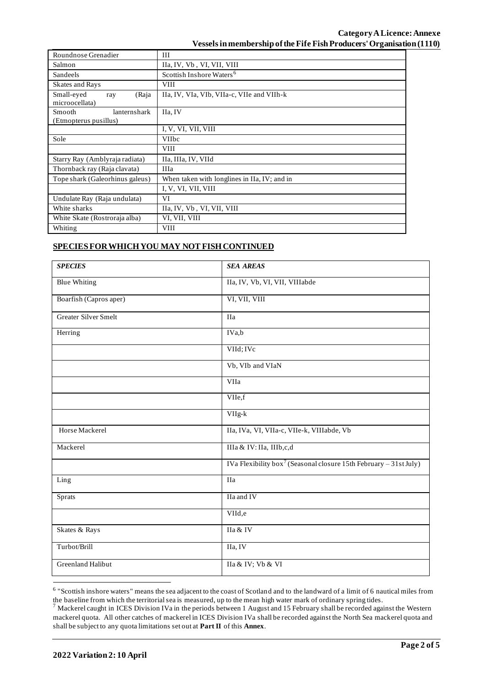# **Category ALicence: Annexe Vessels in membership of the Fife Fish Producers' Organisation (1110)**

| Roundnose Grenadier                                    | Ш                                            |  |  |
|--------------------------------------------------------|----------------------------------------------|--|--|
| Salmon                                                 | IIa, IV, Vb, VI, VII, VIII                   |  |  |
| Sandeels                                               | Scottish Inshore Waters <sup>6</sup>         |  |  |
| <b>Skates and Rays</b>                                 | <b>VIII</b>                                  |  |  |
| Small-eyed<br>(Raja<br>ray<br>microocellata)           | IIa, IV, VIa, VIb, VIIa-c, VIIe and VIIh-k   |  |  |
| <b>Smooth</b><br>lanternshark<br>(Etmopterus pusillus) | IIa, IV                                      |  |  |
|                                                        | I, V, VI, VII, VIII                          |  |  |
| Sole                                                   | <b>VIIbc</b>                                 |  |  |
|                                                        | <b>VIII</b>                                  |  |  |
| Starry Ray (Amblyraja radiata)                         | IIa, IIIa, IV, VIId                          |  |  |
| Thornback ray (Raja clavata)                           | <b>IIIa</b>                                  |  |  |
| Tope shark (Galeorhinus galeus)                        | When taken with longlines in IIa, IV; and in |  |  |
|                                                        | I, V, VI, VII, VIII                          |  |  |
| Undulate Ray (Raja undulata)                           | VI                                           |  |  |
| White sharks                                           | IIa, IV, Vb, VI, VII, VIII                   |  |  |
| White Skate (Rostroraja alba)                          | VI, VII, VIII                                |  |  |
| Whiting                                                | <b>VIII</b>                                  |  |  |

# **SPECIES FOR WHICH YOU MAY NOT FISH CONTINUED**

| <b>SPECIES</b>         | <b>SEA AREAS</b>                                                              |  |  |
|------------------------|-------------------------------------------------------------------------------|--|--|
| <b>Blue Whiting</b>    | IIa, IV, Vb, VI, VII, VIIIabde                                                |  |  |
| Boarfish (Capros aper) | VI, VII, VIII                                                                 |  |  |
| Greater Silver Smelt   | IIa                                                                           |  |  |
| Herring                | IVa,b                                                                         |  |  |
|                        | VIId; IVc                                                                     |  |  |
|                        | Vb, VIb and VIaN                                                              |  |  |
|                        | VIIa                                                                          |  |  |
|                        | VIIe,f                                                                        |  |  |
|                        | $VIIg-k$                                                                      |  |  |
| Horse Mackerel         | IIa, IVa, VI, VIIa-c, VIIe-k, VIIIabde, Vb                                    |  |  |
| Mackerel               | IIIa & IV: IIa, IIIb,c,d                                                      |  |  |
|                        | IVa Flexibility box <sup>7</sup> (Seasonal closure 15th February – 31st July) |  |  |
| Ling                   | IIa                                                                           |  |  |
| Sprats                 | IIa and IV                                                                    |  |  |
|                        | VIId,e                                                                        |  |  |
| Skates & Rays          | IIa & IV                                                                      |  |  |
| Turbot/Brill           | IIa, IV                                                                       |  |  |
| Greenland Halibut      | IIa & IV; Vb & VI                                                             |  |  |

<sup>&</sup>lt;sup>6</sup> "Scottish inshore waters" means the sea adjacent to the coast of Scotland and to the landward of a limit of 6 nautical miles from the baseline from which the territorial sea is measured, up to the mean high water mark of ordinary spring tides.

 $^7$  Mackerel caught in ICES Division IVa in the periods between 1 August and 15 February shall be recorded against the Western mackerel quota. All other catches of mackerel in ICES Division IVa shall be recorded against the North Sea mackerel quota and shall be subject to any quota limitations set out at **Part II** of this **Annex**.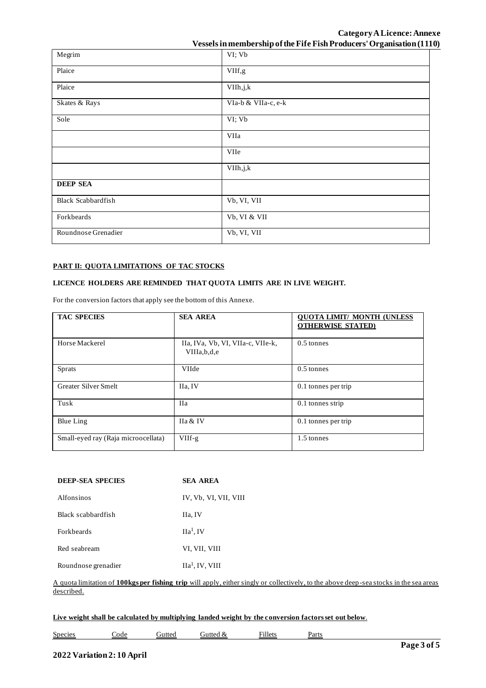**Category ALicence: Annexe Vessels in membership of the Fife Fish Producers' Organisation (1110)**

|                           | $\sim$ cooking in internative state $\sim$ can also a non-algebra complete $\sim$ and $\sim$ $\sim$ $\sim$ $\sim$ |
|---------------------------|-------------------------------------------------------------------------------------------------------------------|
| Megrim                    | VI; Vb                                                                                                            |
| Plaice                    | VIIf,g                                                                                                            |
| Plaice                    | VIIh, j, k                                                                                                        |
| Skates & Rays             | VIa-b & VIIa-c, e-k                                                                                               |
| Sole                      | VI; Vb                                                                                                            |
|                           | VIIa                                                                                                              |
|                           | <b>VIIe</b>                                                                                                       |
|                           | VIIh, j, k                                                                                                        |
| <b>DEEP SEA</b>           |                                                                                                                   |
| <b>Black Scabbardfish</b> | Vb, VI, VII                                                                                                       |
| Forkbeards                | Vb, VI & VII                                                                                                      |
| Roundnose Grenadier       | Vb, VI, VII                                                                                                       |

#### **PART II: QUOTA LIMITATIONS OF TAC STOCKS**

## **LICENCE HOLDERS ARE REMINDED THAT QUOTA LIMITS ARE IN LIVE WEIGHT.**

For the conversion factors that apply see the bottom of this Annexe.

| <b>TAC SPECIES</b>                  | <b>SEA AREA</b>                                     | <b>QUOTA LIMIT/ MONTH (UNLESS)</b><br><b>OTHERWISE STATED)</b> |
|-------------------------------------|-----------------------------------------------------|----------------------------------------------------------------|
| Horse Mackerel                      | IIa, IVa, Vb, VI, VIIa-c, VIIe-k,<br>VIIIa, b, d, e | $0.5$ tonnes                                                   |
| <b>Sprats</b>                       | VIIde                                               | $0.5$ tonnes                                                   |
| <b>Greater Silver Smelt</b>         | IIa, IV                                             | 0.1 tonnes per trip                                            |
| Tusk                                | <b>IIa</b>                                          | $0.1$ tonnes strip                                             |
| Blue Ling                           | IIa & IV                                            | 0.1 tonnes per trip                                            |
| Small-eyed ray (Raja microocellata) | $VIIf-g$                                            | 1.5 tonnes                                                     |

| <b>DEEP-SEA SPECIES</b> | <b>SEA AREA</b>       |  |  |
|-------------------------|-----------------------|--|--|
| Alfonsinos              | IV, Vb, VI, VII, VIII |  |  |
| Black scabbardfish      | IIa, IV               |  |  |
| <b>Forkheards</b>       | IIa <sup>1</sup> , IV |  |  |
| Red seabream            | VI, VII, VIII         |  |  |
| Roundnose grenadier     | $IIa1$ , IV, VIII     |  |  |

### A quota limitation of **100kgs per fishing trip** will apply, either singly or collectively, to the above deep-sea stocks in the sea areas described.

#### **Live weight shall be calculated by multiplying landed weight by the conversion factors set out below**.

 $Species$  Code Gutted Gutted  $Species$  Fillets Parts